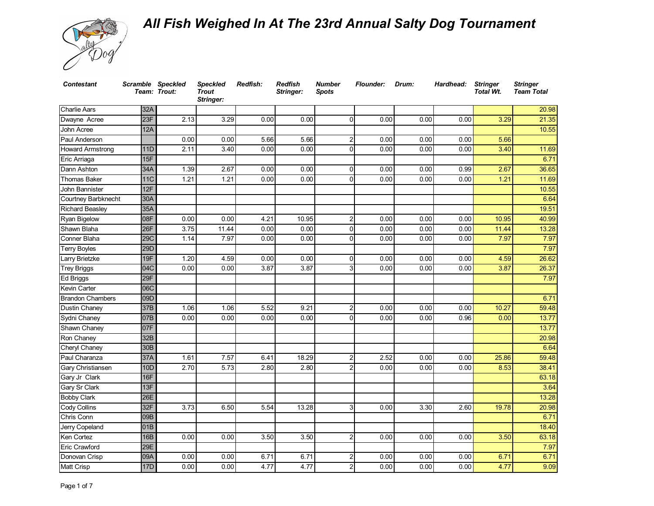

| <b>Contestant</b>       |                 | Scramble Speckled<br>Team: Trout: | <b>Speckled</b><br><b>Trout</b><br>Stringer: | Redfish: | <b>Redfish</b><br>Stringer: | <b>Number</b><br><b>Spots</b> | <b>Flounder:</b> | Drum: | Hardhead: | <b>Stringer</b><br><b>Total Wt.</b> | <b>Stringer</b><br><b>Team Total</b> |
|-------------------------|-----------------|-----------------------------------|----------------------------------------------|----------|-----------------------------|-------------------------------|------------------|-------|-----------|-------------------------------------|--------------------------------------|
| <b>Charlie Aars</b>     | 32A             |                                   |                                              |          |                             |                               |                  |       |           |                                     | 20.98                                |
| Dwayne Acree            | 23F             | 2.13                              | 3.29                                         | 0.00     | 0.00                        | 0                             | 0.00             | 0.00  | 0.00      | 3.29                                | 21.35                                |
| John Acree              | 12A             |                                   |                                              |          |                             |                               |                  |       |           |                                     | 10.55                                |
| Paul Anderson           |                 | 0.00                              | 0.00                                         | 5.66     | 5.66                        | 2                             | 0.00             | 0.00  | 0.00      | 5.66                                |                                      |
| Howard Armstrong        | 11D             | 2.11                              | 3.40                                         | 0.00     | 0.00                        | $\Omega$                      | 0.00             | 0.00  | 0.00      | 3.40                                | 11.69                                |
| Eric Arriaga            | 15F             |                                   |                                              |          |                             |                               |                  |       |           |                                     | 6.71                                 |
| Dann Ashton             | 34A             | 1.39                              | 2.67                                         | 0.00     | 0.00                        | 0                             | 0.00             | 0.00  | 0.99      | 2.67                                | 36.65                                |
| Thomas Baker            | <b>11C</b>      | 1.21                              | 1.21                                         | 0.00     | 0.00                        | $\Omega$                      | 0.00             | 0.00  | 0.00      | 1.21                                | 11.69                                |
| John Bannister          | 12F             |                                   |                                              |          |                             |                               |                  |       |           |                                     | 10.55                                |
| Courtney Barbknecht     | 30A             |                                   |                                              |          |                             |                               |                  |       |           |                                     | 6.64                                 |
| <b>Richard Beasley</b>  | 35A             |                                   |                                              |          |                             |                               |                  |       |           |                                     | 19.51                                |
| Ryan Bigelow            | 08F             | 0.00                              | 0.00                                         | 4.21     | 10.95                       | $\overline{2}$                | 0.00             | 0.00  | 0.00      | 10.95                               | 40.99                                |
| Shawn Blaha             | 26F             | 3.75                              | 11.44                                        | 0.00     | 0.00                        | $\Omega$                      | 0.00             | 0.00  | 0.00      | 11.44                               | 13.28                                |
| Conner Blaha            | 29C             | 1.14                              | 7.97                                         | 0.00     | 0.00                        | 0                             | 0.00             | 0.00  | 0.00      | 7.97                                | 7.97                                 |
| <b>Terry Boyles</b>     | 29D             |                                   |                                              |          |                             |                               |                  |       |           |                                     | 7.97                                 |
| Larry Brietzke          | 19F             | 1.20                              | 4.59                                         | 0.00     | 0.00                        | $\Omega$                      | 0.00             | 0.00  | 0.00      | 4.59                                | 26.62                                |
| <b>Trey Briggs</b>      | 04C             | 0.00                              | 0.00                                         | 3.87     | 3.87                        | 3                             | 0.00             | 0.00  | 0.00      | 3.87                                | 26.37                                |
| Ed Briggs               | 29F             |                                   |                                              |          |                             |                               |                  |       |           |                                     | 7.97                                 |
| Kevin Carter            | 06C             |                                   |                                              |          |                             |                               |                  |       |           |                                     |                                      |
| <b>Brandon Chambers</b> | 09D             |                                   |                                              |          |                             |                               |                  |       |           |                                     | 6.71                                 |
| Dustin Chaney           | 37B             | 1.06                              | 1.06                                         | 5.52     | 9.21                        | 2                             | 0.00             | 0.00  | 0.00      | 10.27                               | 59.48                                |
| Sydni Chaney            | 07B             | 0.00                              | 0.00                                         | 0.00     | 0.00                        | 0                             | 0.00             | 0.00  | 0.96      | 0.00                                | 13.77                                |
| Shawn Chaney            | 07F             |                                   |                                              |          |                             |                               |                  |       |           |                                     | 13.77                                |
| Ron Chaney              | 32B             |                                   |                                              |          |                             |                               |                  |       |           |                                     | 20.98                                |
| Cheryl Chaney           | 30B             |                                   |                                              |          |                             |                               |                  |       |           |                                     | 6.64                                 |
| Paul Charanza           | 37A             | 1.61                              | 7.57                                         | 6.41     | 18.29                       | $\overline{2}$                | 2.52             | 0.00  | 0.00      | 25.86                               | 59.48                                |
| Gary Christiansen       | 10 <sub>D</sub> | 2.70                              | 5.73                                         | 2.80     | 2.80                        | 2                             | 0.00             | 0.00  | 0.00      | 8.53                                | 38.41                                |
| Gary Jr Clark           | <b>16F</b>      |                                   |                                              |          |                             |                               |                  |       |           |                                     | 63.18                                |
| <b>Gary Sr Clark</b>    | 13F             |                                   |                                              |          |                             |                               |                  |       |           |                                     | 3.64                                 |
| <b>Bobby Clark</b>      | 26E             |                                   |                                              |          |                             |                               |                  |       |           |                                     | 13.28                                |
| <b>Cody Collins</b>     | 32F             | 3.73                              | 6.50                                         | 5.54     | 13.28                       |                               | 0.00             | 3.30  | 2.60      | 19.78                               | 20.98                                |
| Chris Conn              | 09B             |                                   |                                              |          |                             |                               |                  |       |           |                                     | 6.71                                 |
| Jerry Copeland          | 01B             |                                   |                                              |          |                             |                               |                  |       |           |                                     | 18.40                                |
| Ken Cortez              | 16 <sub>B</sub> | 0.00                              | 0.00                                         | 3.50     | 3.50                        | 2                             | 0.00             | 0.00  | 0.00      | 3.50                                | 63.18                                |
| Eric Crawford           | 29E             |                                   |                                              |          |                             |                               |                  |       |           |                                     | 7.97                                 |
| Donovan Crisp           | 09A             | 0.00                              | 0.00                                         | 6.71     | 6.71                        | 2                             | 0.00             | 0.00  | 0.00      | 6.71                                | 6.71                                 |
| <b>Matt Crisp</b>       | 17D             | 0.00                              | 0.00                                         | 4.77     | 4.77                        | $\overline{c}$                | 0.00             | 0.00  | 0.00      | 4.77                                | 9.09                                 |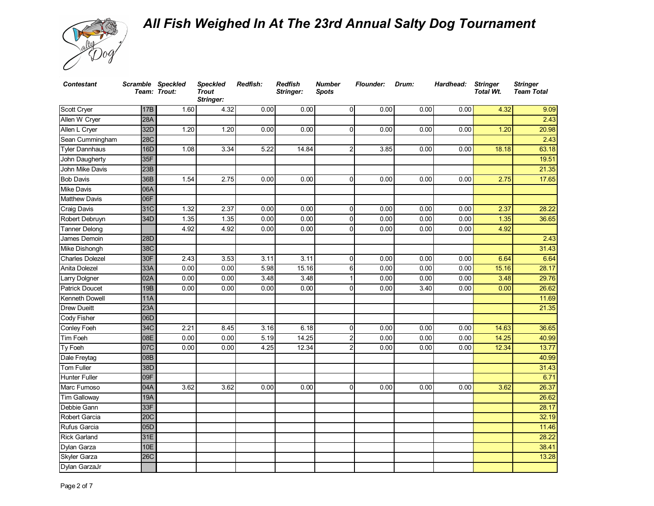

| <b>Contestant</b>     | Scramble Speckled | Team: Trout:      | <b>Speckled</b><br><b>Trout</b><br>Stringer: | <b>Redfish:</b> | <b>Redfish</b><br>Stringer: | <b>Number</b><br><b>Spots</b> | <b>Flounder:</b> | Drum: | Hardhead: Stringer | <b>Total Wt.</b> | <b>Stringer</b><br><b>Team Total</b> |
|-----------------------|-------------------|-------------------|----------------------------------------------|-----------------|-----------------------------|-------------------------------|------------------|-------|--------------------|------------------|--------------------------------------|
| Scott Cryer           | <b>17B</b>        | 1.60              | 4.32                                         | 0.00            | 0.00                        | $\overline{0}$                | 0.00             | 0.00  | 0.00               | 4.32             | 9.09                                 |
| Allen W Cryer         | 28A               |                   |                                              |                 |                             |                               |                  |       |                    |                  | 2.43                                 |
| Allen L Cryer         | 32D               | 1.20              | 1.20                                         | 0.00            | 0.00                        | $\Omega$                      | 0.00             | 0.00  | 0.00               | 1.20             | 20.98                                |
| Sean Cummingham       | 28C               |                   |                                              |                 |                             |                               |                  |       |                    |                  | 2.43                                 |
| <b>Tyler Dannhaus</b> | 16D               | 1.08              | 3.34                                         | 5.22            | 14.84                       | 2                             | 3.85             | 0.00  | 0.00               | 18.18            | 63.18                                |
| John Daugherty        | 35F               |                   |                                              |                 |                             |                               |                  |       |                    |                  | 19.51                                |
| John Mike Davis       | 23B               |                   |                                              |                 |                             |                               |                  |       |                    |                  | 21.35                                |
| <b>Bob Davis</b>      | 36B               | $\overline{1.54}$ | 2.75                                         | 0.00            | 0.00                        | $\Omega$                      | 0.00             | 0.00  | 0.00               | 2.75             | 17.65                                |
| <b>Mike Davis</b>     | 06A               |                   |                                              |                 |                             |                               |                  |       |                    |                  |                                      |
| <b>Matthew Davis</b>  | 06F               |                   |                                              |                 |                             |                               |                  |       |                    |                  |                                      |
| Craig Davis           | 31C               | 1.32              | 2.37                                         | 0.00            | 0.00                        | $\Omega$                      | 0.00             | 0.00  | 0.00               | 2.37             | 28.22                                |
| Robert Debruyn        | 34D               | 1.35              | 1.35                                         | 0.00            | 0.00                        | $\Omega$                      | 0.00             | 0.00  | 0.00               | 1.35             | 36.65                                |
| Tanner Delong         |                   | 4.92              | 4.92                                         | 0.00            | 0.00                        | $\Omega$                      | 0.00             | 0.00  | 0.00               | 4.92             |                                      |
| James Demoin          | <b>28D</b>        |                   |                                              |                 |                             |                               |                  |       |                    |                  | 2.43                                 |
| Mike Dishongh         | <b>38C</b>        |                   |                                              |                 |                             |                               |                  |       |                    |                  | 31.43                                |
| Charles Dolezel       | 30F               | 2.43              | 3.53                                         | 3.11            | 3.11                        | $\mathbf 0$                   | 0.00             | 0.00  | 0.00               | 6.64             | 6.64                                 |
| Anita Dolezel         | 33A               | 0.00              | 0.00                                         | 5.98            | 15.16                       | 6                             | 0.00             | 0.00  | 0.00               | 15.16            | 28.17                                |
| Larry Dolgner         | 02A               | 0.00              | 0.00                                         | 3.48            | 3.48                        | $\mathbf 1$                   | 0.00             | 0.00  | 0.00               | 3.48             | 29.76                                |
| <b>Patrick Doucet</b> | 19B               | 0.00              | 0.00                                         | 0.00            | 0.00                        | $\Omega$                      | 0.00             | 3.40  | 0.00               | 0.00             | 26.62                                |
| Kenneth Dowell        | 11A               |                   |                                              |                 |                             |                               |                  |       |                    |                  | 11.69                                |
| <b>Drew Dueitt</b>    | 23A               |                   |                                              |                 |                             |                               |                  |       |                    |                  | 21.35                                |
| <b>Cody Fisher</b>    | 06D               |                   |                                              |                 |                             |                               |                  |       |                    |                  |                                      |
| <b>Conley Foeh</b>    | 34C               | 2.21              | 8.45                                         | 3.16            | 6.18                        | $\overline{0}$                | 0.00             | 0.00  | 0.00               | 14.63            | 36.65                                |
| Tim Foeh              | 08E               | 0.00              | 0.00                                         | 5.19            | 14.25                       | 2                             | 0.00             | 0.00  | 0.00               | 14.25            | 40.99                                |
| Ty Foeh               | 07C               | 0.00              | 0.00                                         | 4.25            | 12.34                       | $\overline{2}$                | 0.00             | 0.00  | 0.00               | 12.34            | 13.77                                |
| Dale Freytag          | 08B               |                   |                                              |                 |                             |                               |                  |       |                    |                  | 40.99                                |
| <b>Tom Fuller</b>     | 38D               |                   |                                              |                 |                             |                               |                  |       |                    |                  | 31.43                                |
| <b>Hunter Fuller</b>  | 09F               |                   |                                              |                 |                             |                               |                  |       |                    |                  | 6.71                                 |
| Marc Fumoso           | 04A               | 3.62              | 3.62                                         | 0.00            | 0.00                        | $\Omega$                      | 0.00             | 0.00  | 0.00               | 3.62             | 26.37                                |
| <b>Tim Galloway</b>   | 19A               |                   |                                              |                 |                             |                               |                  |       |                    |                  | 26.62                                |
| Debbie Gann           | 33F               |                   |                                              |                 |                             |                               |                  |       |                    |                  | 28.17                                |
| Robert Garcia         | 20C               |                   |                                              |                 |                             |                               |                  |       |                    |                  | 32.19                                |
| Rufus Garcia          | 05D               |                   |                                              |                 |                             |                               |                  |       |                    |                  | 11.46                                |
| <b>Rick Garland</b>   | 31E               |                   |                                              |                 |                             |                               |                  |       |                    |                  | 28.22                                |
| Dylan Garza           | 10E               |                   |                                              |                 |                             |                               |                  |       |                    |                  | 38.41                                |
| Skyler Garza          | 26C               |                   |                                              |                 |                             |                               |                  |       |                    |                  | 13.28                                |
| Dylan GarzaJr         |                   |                   |                                              |                 |                             |                               |                  |       |                    |                  |                                      |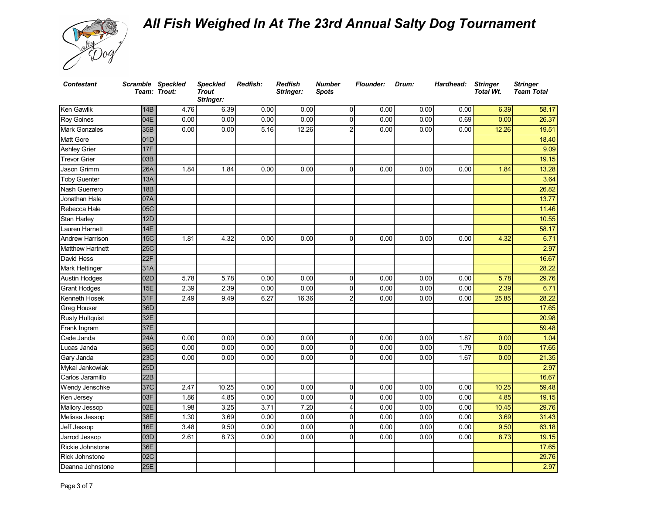

| <b>Contestant</b>       |     | Scramble Speckled<br>Team: Trout: | <b>Speckled</b><br><b>Trout</b><br>Stringer: | Redfish: | <b>Redfish</b><br>Stringer: | <b>Number</b><br><b>Spots</b> | <b>Flounder:</b> | Drum: | Hardhead: | <b>Stringer</b><br><b>Total Wt.</b> | <b>Stringer</b><br><b>Team Total</b> |
|-------------------------|-----|-----------------------------------|----------------------------------------------|----------|-----------------------------|-------------------------------|------------------|-------|-----------|-------------------------------------|--------------------------------------|
| Ken Gawlik              | 14B | 4.76                              | 6.39                                         | 0.00     | 0.00                        | $\Omega$                      | 0.00             | 0.00  | 0.00      | 6.39                                | 58.17                                |
| <b>Roy Goines</b>       | 04E | 0.00                              | 0.00                                         | 0.00     | 0.00                        | 0                             | 0.00             | 0.00  | 0.69      | 0.00                                | 26.37                                |
| Mark Gonzales           | 35B | 0.00                              | 0.00                                         | 5.16     | 12.26                       |                               | 0.00             | 0.00  | 0.00      | 12.26                               | 19.51                                |
| Matt Gore               | 01D |                                   |                                              |          |                             |                               |                  |       |           |                                     | 18.40                                |
| <b>Ashley Grier</b>     | 17F |                                   |                                              |          |                             |                               |                  |       |           |                                     | 9.09                                 |
| <b>Trevor Grier</b>     | 03B |                                   |                                              |          |                             |                               |                  |       |           |                                     | 19.15                                |
| Jason Grimm             | 26A | 1.84                              | 1.84                                         | 0.00     | 0.00                        | $\Omega$                      | 0.00             | 0.00  | 0.00      | 1.84                                | 13.28                                |
| <b>Toby Guenter</b>     | 13A |                                   |                                              |          |                             |                               |                  |       |           |                                     | 3.64                                 |
| Nash Guerrero           | 18B |                                   |                                              |          |                             |                               |                  |       |           |                                     | 26.82                                |
| Jonathan Hale           | 07A |                                   |                                              |          |                             |                               |                  |       |           |                                     | 13.77                                |
| Rebecca Hale            | 05C |                                   |                                              |          |                             |                               |                  |       |           |                                     | 11.46                                |
| Stan Harley             | 12D |                                   |                                              |          |                             |                               |                  |       |           |                                     | 10.55                                |
| Lauren Harnett          | 14E |                                   |                                              |          |                             |                               |                  |       |           |                                     | 58.17                                |
| Andrew Harrison         | 15C | 1.81                              | 4.32                                         | 0.00     | 0.00                        | $\Omega$                      | 0.00             | 0.00  | 0.00      | 4.32                                | 6.71                                 |
| <b>Matthew Hartnett</b> | 25C |                                   |                                              |          |                             |                               |                  |       |           |                                     | 2.97                                 |
| David Hess              | 22F |                                   |                                              |          |                             |                               |                  |       |           |                                     | 16.67                                |
| Mark Hettinger          | 31A |                                   |                                              |          |                             |                               |                  |       |           |                                     | 28.22                                |
| <b>Austin Hodges</b>    | 02D | 5.78                              | 5.78                                         | 0.00     | 0.00                        | $\mathbf{0}$                  | 0.00             | 0.00  | 0.00      | 5.78                                | 29.76                                |
| <b>Grant Hodges</b>     | 15E | 2.39                              | 2.39                                         | 0.00     | 0.00                        | 0                             | 0.00             | 0.00  | 0.00      | 2.39                                | 6.71                                 |
| Kenneth Hosek           | 31F | 2.49                              | 9.49                                         | 6.27     | 16.36                       | 2                             | 0.00             | 0.00  | 0.00      | 25.85                               | 28.22                                |
| Greg Houser             | 36D |                                   |                                              |          |                             |                               |                  |       |           |                                     | 17.65                                |
| <b>Rusty Hultquist</b>  | 32E |                                   |                                              |          |                             |                               |                  |       |           |                                     | 20.98                                |
| Frank Ingram            | 37E |                                   |                                              |          |                             |                               |                  |       |           |                                     | 59.48                                |
| Cade Janda              | 24A | 0.00                              | 0.00                                         | 0.00     | 0.00                        | $\Omega$                      | 0.00             | 0.00  | 1.87      | 0.00                                | 1.04                                 |
| Lucas Janda             | 36C | 0.00                              | 0.00                                         | 0.00     | 0.00                        | $\Omega$                      | 0.00             | 0.00  | 1.79      | 0.00                                | 17.65                                |
| Gary Janda              | 23C | 0.00                              | 0.00                                         | 0.00     | 0.00                        | 0                             | 0.00             | 0.00  | 1.67      | 0.00                                | 21.35                                |
| Mykal Jankowiak         | 25D |                                   |                                              |          |                             |                               |                  |       |           |                                     | 2.97                                 |
| Carlos Jaramillo        | 22B |                                   |                                              |          |                             |                               |                  |       |           |                                     | 16.67                                |
| Wendy Jenschke          | 37C | 2.47                              | 10.25                                        | 0.00     | 0.00                        | 0                             | 0.00             | 0.00  | 0.00      | 10.25                               | 59.48                                |
| Ken Jersey              | 03F | 1.86                              | 4.85                                         | 0.00     | 0.00                        | $\Omega$                      | 0.00             | 0.00  | 0.00      | 4.85                                | 19.15                                |
| <b>Mallory Jessop</b>   | 02E | 1.98                              | 3.25                                         | 3.71     | 7.20                        | Δ                             | 0.00             | 0.00  | 0.00      | 10.45                               | 29.76                                |
| Melissa Jessop          | 38E | 1.30                              | 3.69                                         | 0.00     | 0.00                        | 0                             | 0.00             | 0.00  | 0.00      | 3.69                                | 31.43                                |
| Jeff Jessop             | 16E | 3.48                              | 9.50                                         | 0.00     | 0.00                        | 0                             | 0.00             | 0.00  | 0.00      | 9.50                                | 63.18                                |
| Jarrod Jessop           | 03D | 2.61                              | 8.73                                         | 0.00     | 0.00                        | 0                             | 0.00             | 0.00  | 0.00      | 8.73                                | 19.15                                |
| Rickie Johnstone        | 36E |                                   |                                              |          |                             |                               |                  |       |           |                                     | 17.65                                |
| <b>Rick Johnstone</b>   | 02C |                                   |                                              |          |                             |                               |                  |       |           |                                     | 29.76                                |
| Deanna Johnstone        | 25E |                                   |                                              |          |                             |                               |                  |       |           |                                     | 2.97                                 |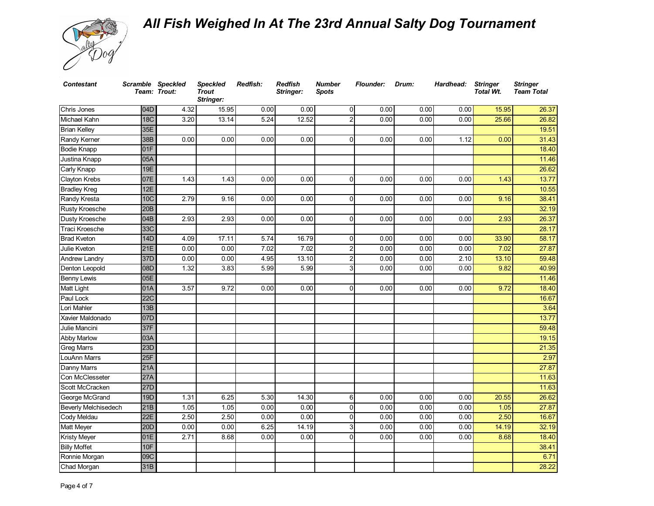

| <b>Contestant</b>    |                 | Scramble Speckled<br>Team: Trout: | <b>Speckled</b><br><b>Trout</b><br>Stringer: | <b>Redfish:</b> | <b>Redfish</b><br>Stringer: | Number<br><b>Spots</b> | <b>Flounder:</b> | Drum: | Hardhead: | <b>Stringer</b><br><b>Total Wt.</b> | <b>Stringer</b><br><b>Team Total</b> |
|----------------------|-----------------|-----------------------------------|----------------------------------------------|-----------------|-----------------------------|------------------------|------------------|-------|-----------|-------------------------------------|--------------------------------------|
| Chris Jones          | 04D             | 4.32                              | 15.95                                        | 0.00            | 0.00                        | 0                      | 0.00             | 0.00  | 0.00      | 15.95                               | 26.37                                |
| Michael Kahn         | <b>18C</b>      | 3.20                              | 13.14                                        | 5.24            | 12.52                       | $\overline{2}$         | 0.00             | 0.00  | 0.00      | 25.66                               | 26.82                                |
| <b>Brian Kelley</b>  | 35E             |                                   |                                              |                 |                             |                        |                  |       |           |                                     | 19.51                                |
| Randy Kerner         | 38B             | 0.00                              | 0.00                                         | 0.00            | 0.00                        | $\Omega$               | 0.00             | 0.00  | 1.12      | 0.00                                | 31.43                                |
| <b>Bodie Knapp</b>   | 01F             |                                   |                                              |                 |                             |                        |                  |       |           |                                     | 18.40                                |
| Justina Knapp        | 05A             |                                   |                                              |                 |                             |                        |                  |       |           |                                     | 11.46                                |
| Carly Knapp          | 19E             |                                   |                                              |                 |                             |                        |                  |       |           |                                     | 26.62                                |
| Clayton Krebs        | 07E             | 1.43                              | 1.43                                         | 0.00            | 0.00                        | $\Omega$               | 0.00             | 0.00  | 0.00      | 1.43                                | 13.77                                |
| <b>Bradley Kreg</b>  | 12E             |                                   |                                              |                 |                             |                        |                  |       |           |                                     | 10.55                                |
| Randy Kresta         | 10 <sub>C</sub> | 2.79                              | 9.16                                         | 0.00            | 0.00                        | $\Omega$               | 0.00             | 0.00  | 0.00      | 9.16                                | 38.41                                |
| Rusty Kroesche       | 20B             |                                   |                                              |                 |                             |                        |                  |       |           |                                     | 32.19                                |
| Dusty Kroesche       | 04B             | 2.93                              | 2.93                                         | 0.00            | 0.00                        | $\Omega$               | 0.00             | 0.00  | 0.00      | 2.93                                | 26.37                                |
| Traci Kroesche       | 33C             |                                   |                                              |                 |                             |                        |                  |       |           |                                     | 28.17                                |
| <b>Brad Kveton</b>   | <b>14D</b>      | 4.09                              | 17.11                                        | 5.74            | 16.79                       | $\Omega$               | 0.00             | 0.00  | 0.00      | 33.90                               | 58.17                                |
| Julie Kveton         | 21E             | 0.00                              | 0.00                                         | 7.02            | 7.02                        | 2                      | 0.00             | 0.00  | 0.00      | 7.02                                | 27.87                                |
| Andrew Landry        | 37D             | 0.00                              | 0.00                                         | 4.95            | 13.10                       | $\overline{c}$         | 0.00             | 0.00  | 2.10      | 13.10                               | 59.48                                |
| Denton Leopold       | 08D             | 1.32                              | 3.83                                         | 5.99            | 5.99                        | 3                      | 0.00             | 0.00  | 0.00      | 9.82                                | 40.99                                |
| <b>Benny Lewis</b>   | 05E             |                                   |                                              |                 |                             |                        |                  |       |           |                                     | 11.46                                |
| <b>Matt Light</b>    | 01A             | 3.57                              | 9.72                                         | 0.00            | 0.00                        | $\Omega$               | 0.00             | 0.00  | 0.00      | 9.72                                | 18.40                                |
| Paul Lock            | 22C             |                                   |                                              |                 |                             |                        |                  |       |           |                                     | 16.67                                |
| Lori Mahler          | 13B             |                                   |                                              |                 |                             |                        |                  |       |           |                                     | 3.64                                 |
| Xavier Maldonado     | 07D             |                                   |                                              |                 |                             |                        |                  |       |           |                                     | 13.77                                |
| Julie Mancini        | 37F             |                                   |                                              |                 |                             |                        |                  |       |           |                                     | 59.48                                |
| <b>Abby Marlow</b>   | 03A             |                                   |                                              |                 |                             |                        |                  |       |           |                                     | 19.15                                |
| <b>Greg Marrs</b>    | 23D             |                                   |                                              |                 |                             |                        |                  |       |           |                                     | 21.35                                |
| LouAnn Marrs         | 25F             |                                   |                                              |                 |                             |                        |                  |       |           |                                     | 2.97                                 |
| Danny Marrs          | 21A             |                                   |                                              |                 |                             |                        |                  |       |           |                                     | 27.87                                |
| Con McClesseter      | 27A             |                                   |                                              |                 |                             |                        |                  |       |           |                                     | 11.63                                |
| Scott McCracken      | 27D             |                                   |                                              |                 |                             |                        |                  |       |           |                                     | 11.63                                |
| George McGrand       | <b>19D</b>      | 1.31                              | 6.25                                         | 5.30            | 14.30                       | 6                      | 0.00             | 0.00  | 0.00      | 20.55                               | 26.62                                |
| Beverly Melchisedech | 21B             | 1.05                              | 1.05                                         | 0.00            | 0.00                        | $\Omega$               | 0.00             | 0.00  | 0.00      | 1.05                                | 27.87                                |
| Cody Meldau          | 22E             | 2.50                              | 2.50                                         | 0.00            | 0.00                        | 0                      | 0.00             | 0.00  | 0.00      | 2.50                                | 16.67                                |
| <b>Matt Meyer</b>    | 20D             | 0.00                              | 0.00                                         | 6.25            | 14.19                       | 3                      | 0.00             | 0.00  | 0.00      | 14.19                               | 32.19                                |
| <b>Kristy Meyer</b>  | 01E             | 2.71                              | 8.68                                         | 0.00            | 0.00                        | $\Omega$               | 0.00             | 0.00  | 0.00      | 8.68                                | 18.40                                |
| <b>Billy Moffet</b>  | 10 <sub>F</sub> |                                   |                                              |                 |                             |                        |                  |       |           |                                     | 38.41                                |
| Ronnie Morgan        | 09C             |                                   |                                              |                 |                             |                        |                  |       |           |                                     | 6.71                                 |
| Chad Morgan          | 31B             |                                   |                                              |                 |                             |                        |                  |       |           |                                     | 28.22                                |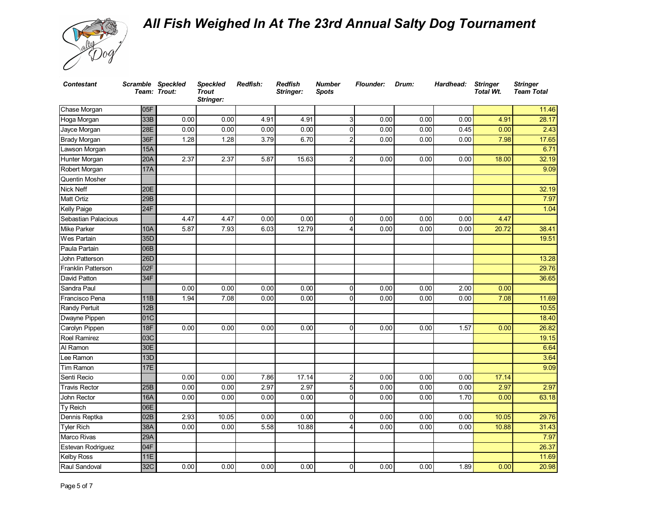

| <b>Contestant</b>    | Scramble Speckled | Team: Trout: | <b>Speckled</b><br><b>Trout</b><br>Stringer: | <b>Redfish:</b> | <b>Redfish</b><br>Stringer: | <b>Number</b><br><b>Spots</b> | <b>Flounder:</b> | Drum: | Hardhead: | <b>Stringer</b><br><b>Total Wt.</b> | <b>Stringer</b><br><b>Team Total</b> |
|----------------------|-------------------|--------------|----------------------------------------------|-----------------|-----------------------------|-------------------------------|------------------|-------|-----------|-------------------------------------|--------------------------------------|
| Chase Morgan         | 05F               |              |                                              |                 |                             |                               |                  |       |           |                                     | 11.46                                |
| Hoga Morgan          | 33B               | 0.00         | 0.00                                         | 4.91            | 4.91                        | 3                             | 0.00             | 0.00  | 0.00      | 4.91                                | 28.17                                |
| Jayce Morgan         | 28E               | 0.00         | 0.00                                         | 0.00            | 0.00                        | 0l                            | 0.00             | 0.00  | 0.45      | 0.00                                | 2.43                                 |
| <b>Brady Morgan</b>  | 36F               | 1.28         | 1.28                                         | 3.79            | 6.70                        | $\overline{2}$                | 0.00             | 0.00  | 0.00      | 7.98                                | 17.65                                |
| Lawson Morgan        | <b>15A</b>        |              |                                              |                 |                             |                               |                  |       |           |                                     | 6.71                                 |
| Hunter Morgan        | 20A               | 2.37         | 2.37                                         | 5.87            | 15.63                       | $\overline{2}$                | 0.00             | 0.00  | 0.00      | 18.00                               | 32.19                                |
| Robert Morgan        | <b>17A</b>        |              |                                              |                 |                             |                               |                  |       |           |                                     | 9.09                                 |
| Quentin Mosher       |                   |              |                                              |                 |                             |                               |                  |       |           |                                     |                                      |
| <b>Nick Neff</b>     | 20E               |              |                                              |                 |                             |                               |                  |       |           |                                     | 32.19                                |
| <b>Matt Ortiz</b>    | 29B               |              |                                              |                 |                             |                               |                  |       |           |                                     | 7.97                                 |
| Kelly Paige          | <b>24F</b>        |              |                                              |                 |                             |                               |                  |       |           |                                     | 1.04                                 |
| Sebastian Palacious  |                   | 4.47         | 4.47                                         | 0.00            | 0.00                        | $\overline{0}$                | 0.00             | 0.00  | 0.00      | 4.47                                |                                      |
| Mike Parker          | <b>10A</b>        | 5.87         | 7.93                                         | 6.03            | 12.79                       |                               | 0.00             | 0.00  | 0.00      | 20.72                               | 38.41                                |
| Wes Partain          | 35D               |              |                                              |                 |                             |                               |                  |       |           |                                     | 19.51                                |
| Paula Partain        | 06B               |              |                                              |                 |                             |                               |                  |       |           |                                     |                                      |
| John Patterson       | 26D               |              |                                              |                 |                             |                               |                  |       |           |                                     | 13.28                                |
| Franklin Patterson   | 02F               |              |                                              |                 |                             |                               |                  |       |           |                                     | 29.76                                |
| David Patton         | 34F               |              |                                              |                 |                             |                               |                  |       |           |                                     | 36.65                                |
| Sandra Paul          |                   | 0.00         | 0.00                                         | 0.00            | 0.00                        | $\Omega$                      | 0.00             | 0.00  | 2.00      | 0.00                                |                                      |
| Francisco Pena       | 11B               | 1.94         | 7.08                                         | 0.00            | 0.00                        | $\Omega$                      | 0.00             | 0.00  | 0.00      | 7.08                                | 11.69                                |
| <b>Randy Pertuit</b> | 12B               |              |                                              |                 |                             |                               |                  |       |           |                                     | 10.55                                |
| Dwayne Pippen        | 01C               |              |                                              |                 |                             |                               |                  |       |           |                                     | 18.40                                |
| Carolyn Pippen       | <b>18F</b>        | 0.00         | 0.00                                         | 0.00            | 0.00                        | $\mathbf{0}$                  | 0.00             | 0.00  | 1.57      | 0.00                                | 26.82                                |
| Roel Ramirez         | 03C               |              |                                              |                 |                             |                               |                  |       |           |                                     | 19.15                                |
| Al Ramon             | 30E               |              |                                              |                 |                             |                               |                  |       |           |                                     | 6.64                                 |
| Lee Ramon            | 13D               |              |                                              |                 |                             |                               |                  |       |           |                                     | 3.64                                 |
| Tim Ramon            | <b>17E</b>        |              |                                              |                 |                             |                               |                  |       |           |                                     | 9.09                                 |
| Senti Recio          |                   | 0.00         | 0.00                                         | 7.86            | 17.14                       | $\overline{2}$                | 0.00             | 0.00  | 0.00      | 17.14                               |                                      |
| <b>Travis Rector</b> | 25B               | 0.00         | 0.00                                         | 2.97            | 2.97                        | 5 <sup>1</sup>                | 0.00             | 0.00  | 0.00      | 2.97                                | 2.97                                 |
| John Rector          | 16A               | 0.00         | 0.00                                         | 0.00            | 0.00                        | $\Omega$                      | 0.00             | 0.00  | 1.70      | 0.00                                | 63.18                                |
| Ty Reich             | 06E               |              |                                              |                 |                             |                               |                  |       |           |                                     |                                      |
| Dennis Reptka        | 02B               | 2.93         | 10.05                                        | 0.00            | 0.00                        | $\overline{0}$                | 0.00             | 0.00  | 0.00      | 10.05                               | 29.76                                |
| Tyler Rich           | 38A               | 0.00         | 0.00                                         | 5.58            | 10.88                       | $\overline{4}$                | 0.00             | 0.00  | 0.00      | 10.88                               | 31.43                                |
| Marco Rivas          | 29A               |              |                                              |                 |                             |                               |                  |       |           |                                     | 7.97                                 |
| Estevan Rodriguez    | 04F               |              |                                              |                 |                             |                               |                  |       |           |                                     | 26.37                                |
| <b>Kelby Ross</b>    | <b>11E</b>        |              |                                              |                 |                             |                               |                  |       |           |                                     | 11.69                                |
| Raul Sandoval        | 32C               | 0.00         | 0.00                                         | 0.00            | 0.00                        | $\overline{0}$                | 0.00             | 0.00  | 1.89      | 0.00                                | 20.98                                |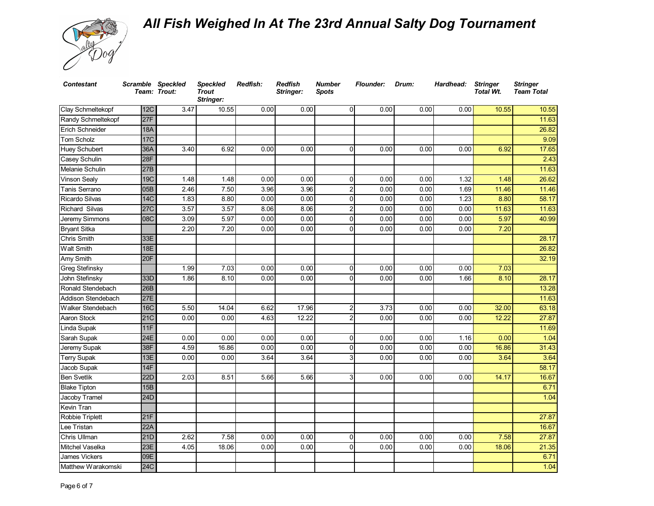

| <b>Contestant</b>     | Scramble Speckled | Team: Trout: | <b>Speckled</b><br><b>Trout</b><br>Stringer: | Redfish: | <b>Redfish</b><br>Stringer: | <b>Number</b><br><b>Spots</b> | <b>Flounder:</b> | Drum: | Hardhead: Stringer | <b>Total Wt.</b> | <b>Stringer</b><br><b>Team Total</b> |
|-----------------------|-------------------|--------------|----------------------------------------------|----------|-----------------------------|-------------------------------|------------------|-------|--------------------|------------------|--------------------------------------|
| Clay Schmeltekopf     | <b>12C</b>        | 3.47         | 10.55                                        | 0.00     | 0.00                        | $\Omega$                      | 0.00             | 0.00  | 0.00               | 10.55            | 10.55                                |
| Randy Schmeltekopf    | 27F               |              |                                              |          |                             |                               |                  |       |                    |                  | 11.63                                |
| Erich Schneider       | <b>18A</b>        |              |                                              |          |                             |                               |                  |       |                    |                  | 26.82                                |
| Tom Scholz            | <b>17C</b>        |              |                                              |          |                             |                               |                  |       |                    |                  | 9.09                                 |
| Huey Schubert         | 36A               | 3.40         | 6.92                                         | 0.00     | 0.00                        | $\Omega$                      | 0.00             | 0.00  | 0.00               | 6.92             | 17.65                                |
| Casey Schulin         | 28F               |              |                                              |          |                             |                               |                  |       |                    |                  | 2.43                                 |
| Melanie Schulin       | 27B               |              |                                              |          |                             |                               |                  |       |                    |                  | 11.63                                |
| Vinson Sealy          | 19C               | 1.48         | 1.48                                         | 0.00     | 0.00                        | $\Omega$                      | 0.00             | 0.00  | 1.32               | 1.48             | 26.62                                |
| Tanis Serrano         | 05B               | 2.46         | 7.50                                         | 3.96     | 3.96                        | $\overline{2}$                | 0.00             | 0.00  | 1.69               | 11.46            | 11.46                                |
| Ricardo Silvas        | <b>14C</b>        | 1.83         | 8.80                                         | 0.00     | 0.00                        | $\mathbf{0}$                  | 0.00             | 0.00  | 1.23               | 8.80             | 58.17                                |
| <b>Richard Silvas</b> | 27C               | 3.57         | 3.57                                         | 8.06     | 8.06                        | $\overline{c}$                | 0.00             | 0.00  | 0.00               | 11.63            | 11.63                                |
| Jeremy Simmons        | 08C               | 3.09         | 5.97                                         | 0.00     | 0.00                        | $\Omega$                      | 0.00             | 0.00  | 0.00               | 5.97             | 40.99                                |
| <b>Bryant Sitka</b>   |                   | 2.20         | 7.20                                         | 0.00     | 0.00                        | $\Omega$                      | 0.00             | 0.00  | 0.00               | 7.20             |                                      |
| Chris Smith           | 33E               |              |                                              |          |                             |                               |                  |       |                    |                  | 28.17                                |
| Walt Smith            | <b>18E</b>        |              |                                              |          |                             |                               |                  |       |                    |                  | 26.82                                |
| <b>Amy Smith</b>      | 20F               |              |                                              |          |                             |                               |                  |       |                    |                  | 32.19                                |
| <b>Greg Stefinsky</b> |                   | 1.99         | 7.03                                         | 0.00     | 0.00                        | $\overline{0}$                | 0.00             | 0.00  | 0.00               | 7.03             |                                      |
| John Stefinsky        | 33D               | 1.86         | 8.10                                         | 0.00     | 0.00                        | $\Omega$                      | 0.00             | 0.00  | 1.66               | 8.10             | 28.17                                |
| Ronald Stendebach     | 26B               |              |                                              |          |                             |                               |                  |       |                    |                  | 13.28                                |
| Addison Stendebach    | 27E               |              |                                              |          |                             |                               |                  |       |                    |                  | 11.63                                |
| Walker Stendebach     | 16C               | 5.50         | 14.04                                        | 6.62     | 17.96                       | $\overline{2}$                | 3.73             | 0.00  | 0.00               | 32.00            | 63.18                                |
| Aaron Stock           | 21C               | 0.00         | 0.00                                         | 4.63     | 12.22                       | $\overline{2}$                | 0.00             | 0.00  | 0.00               | 12.22            | 27.87                                |
| Linda Supak           | 11F               |              |                                              |          |                             |                               |                  |       |                    |                  | 11.69                                |
| Sarah Supak           | 24E               | 0.00         | 0.00                                         | 0.00     | 0.00                        | 0                             | 0.00             | 0.00  | 1.16               | 0.00             | 1.04                                 |
| Jeremy Supak          | 38F               | 4.59         | 16.86                                        | 0.00     | 0.00                        | $\overline{0}$                | 0.00             | 0.00  | 0.00               | 16.86            | 31.43                                |
| <b>Terry Supak</b>    | 13E               | 0.00         | 0.00                                         | 3.64     | 3.64                        | 3                             | 0.00             | 0.00  | 0.00               | 3.64             | 3.64                                 |
| Jacob Supak           | 14F               |              |                                              |          |                             |                               |                  |       |                    |                  | 58.17                                |
| <b>Ben Svetlik</b>    | 22D               | 2.03         | 8.51                                         | 5.66     | 5.66                        | 3                             | 0.00             | 0.00  | 0.00               | 14.17            | 16.67                                |
| <b>Blake Tipton</b>   | 15B               |              |                                              |          |                             |                               |                  |       |                    |                  | 6.71                                 |
| Jacoby Tramel         | 24D               |              |                                              |          |                             |                               |                  |       |                    |                  | 1.04                                 |
| Kevin Tran            |                   |              |                                              |          |                             |                               |                  |       |                    |                  |                                      |
| Robbie Triplett       | 21F               |              |                                              |          |                             |                               |                  |       |                    |                  | 27.87                                |
| Lee Tristan           | 22A               |              |                                              |          |                             |                               |                  |       |                    |                  | 16.67                                |
| Chris Ullman          | 21D               | 2.62         | 7.58                                         | 0.00     | 0.00                        | $\overline{0}$                | 0.00             | 0.00  | 0.00               | 7.58             | 27.87                                |
| Mitchel Vaselka       | 23E               | 4.05         | 18.06                                        | 0.00     | 0.00                        | $\Omega$                      | 0.00             | 0.00  | 0.00               | 18.06            | 21.35                                |
| James Vickers         | 09E               |              |                                              |          |                             |                               |                  |       |                    |                  | 6.71                                 |
| Matthew Warakomski    | <b>24C</b>        |              |                                              |          |                             |                               |                  |       |                    |                  | 1.04                                 |